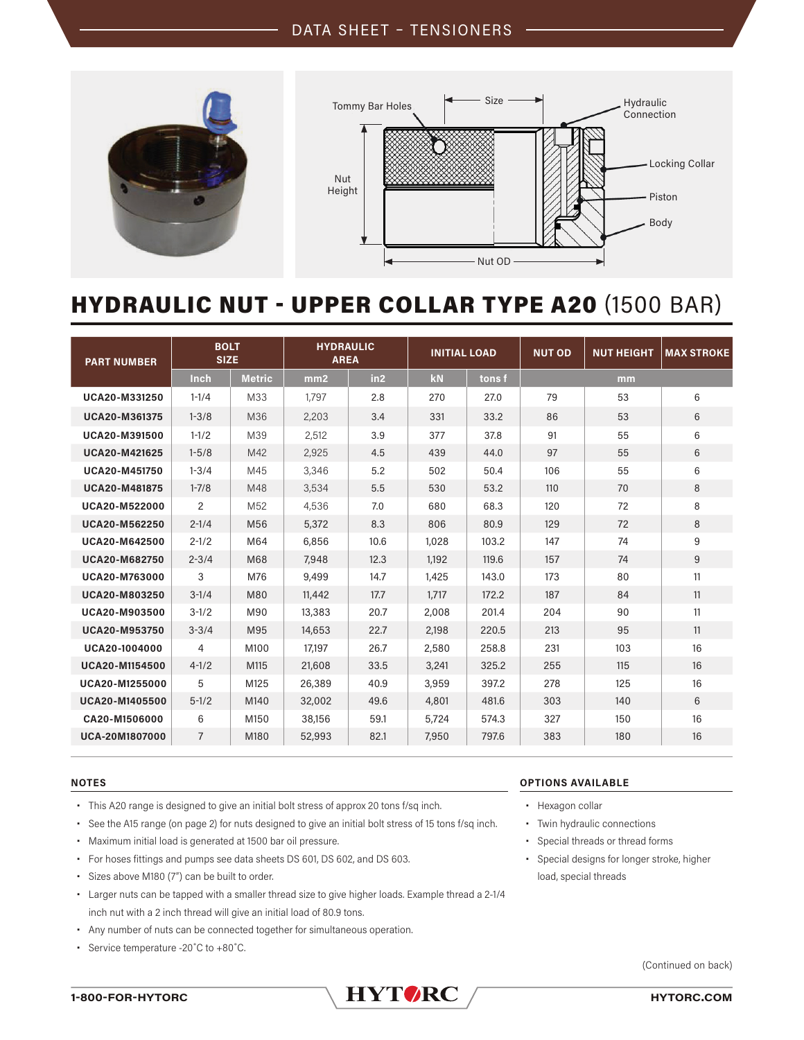

# HYDRAULIC NUT - UPPER COLLAR TYPE A20 (1500 BAR)

| <b>PART NUMBER</b>   | <b>BOLT</b><br><b>SIZE</b> |                 | <b>HYDRAULIC</b><br><b>AREA</b> |      | <b>INITIAL LOAD</b> |        | <b>NUT OD</b> | <b>NUT HEIGHT</b> | <b>MAX STROKE</b> |
|----------------------|----------------------------|-----------------|---------------------------------|------|---------------------|--------|---------------|-------------------|-------------------|
|                      | Inch                       | <b>Metric</b>   | mm2                             | in2  | kN                  | tons f |               | mm                |                   |
| UCA20-M331250        | $1 - 1/4$                  | M33             | 1,797                           | 2.8  | 270                 | 27.0   | 79            | 53                | 6                 |
| <b>UCA20-M361375</b> | $1 - 3/8$                  | M36             | 2,203                           | 3.4  | 331                 | 33.2   | 86            | 53                | 6                 |
| UCA20-M391500        | $1 - 1/2$                  | M39             | 2,512                           | 3.9  | 377                 | 37.8   | 91            | 55                | 6                 |
| <b>UCA20-M421625</b> | $1 - 5/8$                  | M42             | 2,925                           | 4.5  | 439                 | 44.0   | 97            | 55                | $6\phantom{1}$    |
| <b>UCA20-M451750</b> | $1 - 3/4$                  | M45             | 3,346                           | 5.2  | 502                 | 50.4   | 106           | 55                | 6                 |
| <b>UCA20-M481875</b> | $1 - 7/8$                  | M48             | 3,534                           | 5.5  | 530                 | 53.2   | 110           | 70                | 8                 |
| <b>UCA20-M522000</b> | 2                          | M <sub>52</sub> | 4,536                           | 7.0  | 680                 | 68.3   | 120           | 72                | 8                 |
| UCA20-M562250        | $2 - 1/4$                  | M56             | 5,372                           | 8.3  | 806                 | 80.9   | 129           | 72                | 8                 |
| UCA20-M642500        | $2 - 1/2$                  | M64             | 6,856                           | 10.6 | 1,028               | 103.2  | 147           | 74                | 9                 |
| UCA20-M682750        | $2 - 3/4$                  | M68             | 7,948                           | 12.3 | 1,192               | 119.6  | 157           | 74                | 9                 |
| UCA20-M763000        | 3                          | M76             | 9,499                           | 14.7 | 1,425               | 143.0  | 173           | 80                | 11                |
| <b>UCA20-M803250</b> | $3 - 1/4$                  | M80             | 11,442                          | 17.7 | 1,717               | 172.2  | 187           | 84                | 11                |
| <b>UCA20-M903500</b> | $3 - 1/2$                  | M90             | 13,383                          | 20.7 | 2,008               | 201.4  | 204           | 90                | 11                |
| UCA20-M953750        | $3 - 3/4$                  | M95             | 14,653                          | 22.7 | 2,198               | 220.5  | 213           | 95                | 11                |
| UCA20-1004000        | 4                          | M100            | 17,197                          | 26.7 | 2,580               | 258.8  | 231           | 103               | 16                |
| UCA20-M1154500       | $4 - 1/2$                  | M115            | 21,608                          | 33.5 | 3,241               | 325.2  | 255           | 115               | 16                |
| UCA20-M1255000       | 5                          | M125            | 26,389                          | 40.9 | 3,959               | 397.2  | 278           | 125               | 16                |
| UCA20-M1405500       | $5 - 1/2$                  | M140            | 32,002                          | 49.6 | 4,801               | 481.6  | 303           | 140               | 6                 |
| CA20-M1506000        | 6                          | M150            | 38,156                          | 59.1 | 5.724               | 574.3  | 327           | 150               | 16                |
| UCA-20M1807000       | $\overline{7}$             | M180            | 52,993                          | 82.1 | 7,950               | 797.6  | 383           | 180               | 16                |

- **•** This A20 range is designed to give an initial bolt stress of approx 20 tons f/sq inch.
- **•** See the A15 range (on page 2) for nuts designed to give an initial bolt stress of 15 tons f/sq inch.
- **•** Maximum initial load is generated at 1500 bar oil pressure.
- **•** For hoses fittings and pumps see data sheets DS 601, DS 602, and DS 603.
- **•** Sizes above M180 (7") can be built to order.
- **•** Larger nuts can be tapped with a smaller thread size to give higher loads. Example thread a 2-1/4 inch nut with a 2 inch thread will give an initial load of 80.9 tons.
- **•** Any number of nuts can be connected together for simultaneous operation.
- **•** Service temperature -20˚C to +80˚C.

### **NOTES OPTIONS AVAILABLE**

- **•** Hexagon collar
- **•** Twin hydraulic connections
- **•** Special threads or thread forms
- **•** Special designs for longer stroke, higher load, special threads

(Continued on back)